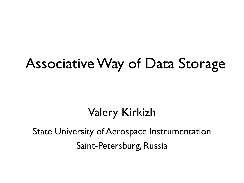#### Associative Way of Data Storage

#### Valery Kirkizh

State University of Aerospace Instrumentation Saint-Petersburg, Russia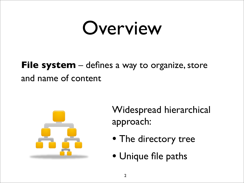# Overview

#### **File system** – defines a way to organize, store and name of content



Widespread hierarchical approach:

- The directory tree
- Unique file paths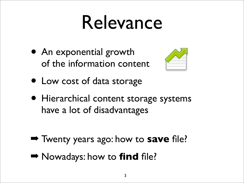# Relevance

• An exponential growth of the information content



- Low cost of data storage
- Hierarchical content storage systems have a lot of disadvantages
- ➡ Twenty years ago: how to **save** file?
- ➡ Nowadays: how to **find** file?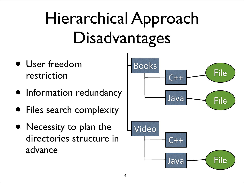# Hierarchical Approach Disadvantages

- User freedom restriction
- Information redundancy
- Files search complexity
- Necessity to plan the directories structure in advance

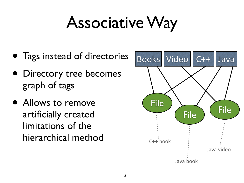### Associative Way

- Tags instead of directories
- Directory tree becomes graph of tags
- Allows to remove artificially created limitations of the hierarchical method

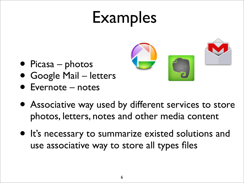### Examples



- Picasa photos
- Google Mail letters
- Evernote notes
- Associative way used by different services to store photos, letters, notes and other media content
- It's necessary to summarize existed solutions and use associative way to store all types files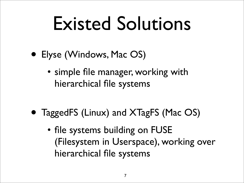# Existed Solutions

- Elyse (Windows, Mac OS)
	- simple file manager, working with hierarchical file systems
- TaggedFS (Linux) and XTagFS (Mac OS)
	- file systems building on FUSE (Filesystem in Userspace), working over hierarchical file systems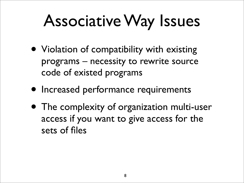#### Associative Way Issues

- Violation of compatibility with existing programs – necessity to rewrite source code of existed programs
- Increased performance requirements
- The complexity of organization multi-user access if you want to give access for the sets of files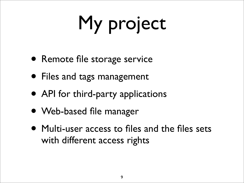# My project

- Remote file storage service
- Files and tags management
- API for third-party applications
- Web-based file manager
- Multi-user access to files and the files sets with different access rights